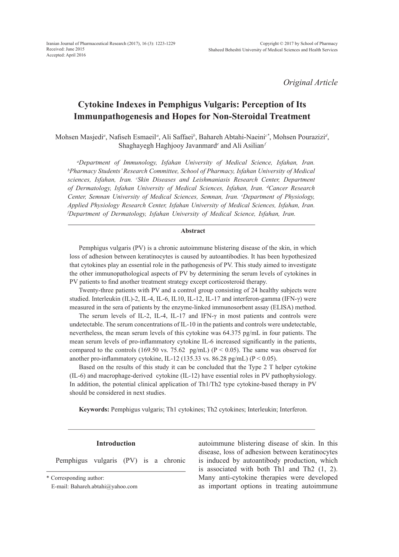*Original Article*

# **Cytokine Indexes in Pemphigus Vulgaris: Perception of Its Immunpathogenesis and Hopes for Non-Steroidal Treatment**

Mohsen Masjedi*<sup>a</sup>* , Nafiseh Esmaeil*<sup>a</sup>* , Ali Saffaei*<sup>b</sup>* , Bahareh Abtahi-Naeini*c\**, Mohsen Pourazizi*<sup>d</sup>* , Shaghayegh Haghjooy Javanmard<sup>e</sup> and Ali Asilian<sup>*j*</sup>

*a Department of Immunology, Isfahan University of Medical Science, Isfahan, Iran. b Pharmacy Students' Research Committee, School of Pharmacy, Isfahan University of Medical sciences, Isfahan, Iran. c Skin Diseases and Leishmaniasis Research Center, Department of Dermatology, Isfahan University of Medical Sciences, Isfahan, Iran. d Cancer Research Center, Semnan University of Medical Sciences, Semnan, Iran. e Department of Physiology, Applied Physiology Research Center, Isfahan University of Medical Sciences, Isfahan, Iran. f Department of Dermatology, Isfahan University of Medical Science, Isfahan, Iran.*

# **Abstract**

Pemphigus vulgaris (PV) is a chronic autoimmune blistering disease of the skin, in which loss of adhesion between keratinocytes is caused by autoantibodies. It has been hypothesized that cytokines play an essential role in the pathogenesis of PV. This study aimed to investigate the other immunopathological aspects of PV by determining the serum levels of cytokines in PV patients to find another treatment strategy except corticosteroid therapy.

Twenty-three patients with PV and a control group consisting of 24 healthy subjects were studied. Interleukin (IL)-2, IL-4, IL-6, IL10, IL-12, IL-17 and interferon-gamma (IFN-γ) were measured in the sera of patients by the enzyme-linked immunosorbent assay (ELISA) method.

The serum levels of IL-2, IL-4, IL-17 and IFN-γ in most patients and controls were undetectable. The serum concentrations of IL-10 in the patients and controls were undetectable, nevertheless, the mean serum levels of this cytokine was 64.375 pg/mL in four patients. The mean serum levels of pro-inflammatory cytokine IL-6 increased significantly in the patients, compared to the controls (169.50 vs. 75.62 pg/mL) ( $P < 0.05$ ). The same was observed for another pro-inflammatory cytokine, IL-12 (135.33 vs. 86.28 pg/mL) (P < 0.05).

Based on the results of this study it can be concluded that the Type 2 T helper cytokine (IL-6) and macrophage-derived cytokine (IL-12) have essential roles in PV pathophysiology. In addition, the potential clinical application of Th1/Th2 type cytokine-based therapy in PV should be considered in next studies.

**Keywords:** Pemphigus vulgaris; Th1 cytokines; Th2 cytokines; Interleukin; Interferon.

# **Introduction**

Pemphigus vulgaris (PV) is a chronic

\* Corresponding author:

E-mail: Bahareh.abtahi@yahoo.com

autoimmune blistering disease of skin. In this disease, loss of adhesion between keratinocytes is induced by autoantibody production, which is associated with both Th1 and Th2 (1, 2). Many anti-cytokine therapies were developed as important options in treating autoimmune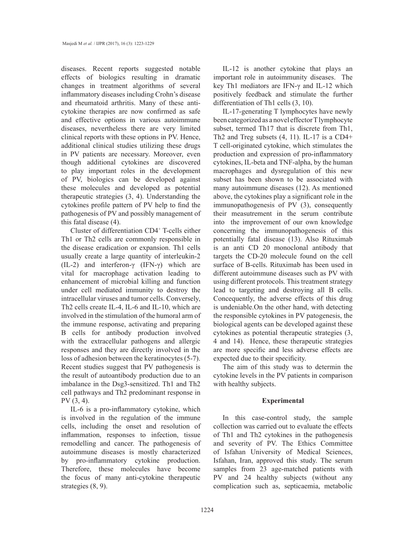diseases. Recent reports suggested notable effects of biologics resulting in dramatic changes in treatment algorithms of several inflammatory diseases including Crohn's disease and rheumatoid arthritis. Many of these anticytokine therapies are now confirmed as safe and effective options in various autoimmune diseases, nevertheless there are very limited clinical reports with these options in PV. Hence, additional clinical studies utilizing these drugs in PV patients are necessary. Moreover, even though additional cytokines are discovered to play important roles in the development of PV, biologics can be developed against these molecules and developed as potential therapeutic strategies (3, 4). Understanding the cytokines profile pattern of PV help to find the pathogenesis of PV and possibly management of this fatal disease (4).

Cluster of differentiation CD4<sup>+</sup> T-cells either Th1 or Th2 cells are commonly responsible in the disease eradication or expansion. Th1 cells usually create a large quantity of interleukin-2 (IL-2) and interferon- $\gamma$  (IFN- $\gamma$ ) which are vital for macrophage activation leading to enhancement of microbial killing and function under cell mediated immunity to destroy the intracellular viruses and tumor cells. Conversely, Th2 cells create IL-4, IL-6 and IL-10, which are involved in the stimulation of the humoral arm of the immune response, activating and preparing B cells for antibody production involved with the extracellular pathogens and allergic responses and they are directly involved in the loss of adhesion between the keratinocytes (5-7). Recent studies suggest that PV pathogenesis is the result of autoantibody production due to an imbalance in the Dsg3-sensitized. Th1 and Th2 cell pathways and Th2 predominant response in PV (3, 4).

IL-6 is a pro-inflammatory cytokine, which is involved in the regulation of the immune cells, including the onset and resolution of inflammation, responses to infection, tissue remodelling and cancer. The pathogenesis of autoimmune diseases is mostly characterized by pro-inflammatory cytokine production. Therefore, these molecules have become the focus of many anti-cytokine therapeutic strategies (8, 9).

IL-12 is another cytokine that plays an important role in autoimmunity diseases. The key Th1 mediators are IFN-γ and IL-12 which positively feedback and stimulate the further differentiation of Th1 cells (3, 10).

IL-17-generating T lymphocytes have newly been categorized as a novel effector T lymphocyte subset, termed Th17 that is discrete from Th1, Th2 and Treg subsets (4, 11). IL-17 is a CD4+ T cell-originated cytokine, which stimulates the production and expression of pro-inflammatory cytokines, IL-beta and TNF-alpha, by the human macrophages and dysregulation of this new subset has been shown to be associated with many autoimmune diseases (12). As mentioned above, the cytokines play a significant role in the immunopathogenesis of PV (3), consequently their measutrement in the serum contribute into the improvement of our own knowledge concerning the immunopathogenesis of this potentially fatal disease (13). Also Rituximab is an anti CD 20 monoclonal antibody that targets the CD-20 molecule found on the cell surface of B-cells. Rituximab has been used in different autoimmune diseases such as PV with using different protocols. This treatment strategy lead to targeting and destroying all B cells. Concequently, the adverse effects of this drug is undeniable.On the other hand, with detecting the responsible cytokines in PV patogenesis, the biological agents can be developed against these cytokines as potential therapeutic strategies (3, 4 and 14). Hence, these therapeutic strategies are more specific and less adverse effects are expected due to their specificity.

The aim of this study was to determin the cytokine levels in the PV patients in comparison with healthy subjects.

#### **Experimental**

In this case-control study, the sample collection was carried out to evaluate the effects of Th1 and Th2 cytokines in the pathogenesis and severity of PV. The Ethics Committee of Isfahan University of Medical Sciences, Isfahan, Iran, approved this study. The serum samples from 23 age-matched patients with PV and 24 healthy subjects (without any complication such as, septicaemia, metabolic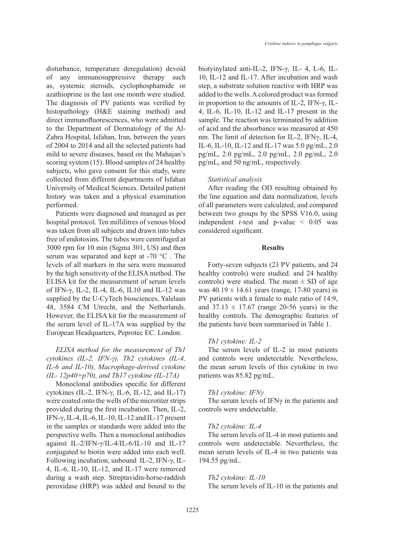disturbance, temperature deregulation) devoid of any immunosuppressive therapy such as, systemic steroids, cyclophosphamide or azathioprine in the last one month were studied. The diagnosis of PV patients was verified by histopathology (H&E staining method) and direct immunofluorescences, who were admitted to the Department of Dermatology of the Al-Zahra Hospital, Isfahan, Iran, between the years of 2004 to 2014 and all the selected patients had mild to severe diseases, based on the Mahajan's scoring system (15). Blood samples of 24 healthy subjects, who gave consent for this study, were collected from different departments of Isfahan University of Medical Sciences. Detailed patient history was taken and a physical examination performed.

Patients were diagnosed and managed as per hospital protocol. Ten millilitres of venous blood was taken from all subjects and drawn into tubes free of endotoxins. The tubes were centrifuged at 3000 rpm for 10 min (Sigma 301, US) and then serum was separated and kept at -70 °C . The levels of all markers in the sera were measured by the high sensitivity of the ELISA method. The ELISA kit for the measurement of serum levels of IFN-γ, IL-2, IL-4, IL-6, IL10 and IL-12 was supplied by the U-CyTech biosciences, Yalelaan 48, 3584 CM Utrecht, and the Netherlands. However, the ELISA kit for the measurement of the serum level of IL-17A was supplied by the European Headquarters, Peprotec EC. London.

# *ELISA method for the measurement of Th1 cytokines (IL-2, IFN-γ), Th2 cytokines (IL-4, IL-6 and IL-10), Macrophage-derived cytokine (IL- 12p40+p70), and Th17 cytokine (IL-17A)*

Monoclonal antibodies specific for different cytokines (IL-2, IFN-γ, IL-6, IL-12, and IL-17) were coated onto the wells of the microtiter strips provided during the first incubation. Then, IL-2, IFN-γ, IL-4, IL-6, IL-10, IL-12 and IL-17 present in the samples or standards were added into the perspective wells. Then a monoclonal antibodies against IL-2/IFN-γ/IL-4/IL-6/IL-10 and IL-17 conjugated to biotin were added into each well. Following incubation, unbound IL-2, IFN-γ, IL-4, IL-6, IL-10, IL-12, and IL-17 were removed during a wash step. Streptavidin-horse-raddish peroxidase (HRP) was added and bound to the biotyinylated anti-IL-2, IFN-γ, IL- 4, L-6, IL-10, IL-12 and IL-17. After incubation and wash step, a substrate solution reactive with HRP was added to the wells. A colored product was formed in proportion to the amounts of IL-2, IFN-γ, IL-4, IL-6, IL-10, IL-12 and IL-17 present in the sample. The reaction was terminated by addition of acid and the absorbance was measured at 450 nm. The limit of detection for IL-2, IFNγ, IL-4, IL-6, IL-10, IL-12 and IL-17 was 5.0 pg/mL, 2.0 pg/mL, 2.0 pg/mL, 2.0 pg/mL, 2.0 pg/mL, 2.0 pg/mL, and 50 ng/mL, respectively.

#### *Statistical analysis*

After reading the OD resulting obtained by the line equation and data normalization, levels of all parameters were calculated, and compared between two groups by the SPSS V16.0, using independent *t-*test and p-value < 0.05 was considered significant.

#### **Results**

Forty-seven subjects (23 PV patients, and 24 healthy controls) were studied. and 24 healthy controls) were studied. The mean  $\pm$  SD of age was  $40.19 \pm 14.61$  years (range, 17-80 years) in PV patients with a female to male ratio of 14:9, and  $37.13 \pm 17.67$  (range 20-56 years) in the healthy controls. The demographic features of the patients have been summarised in Table 1.

## *Th1 cytokine: IL-2*

The serum levels of IL-2 in most patients and controls were undetectable. Nevertheless, the mean serum levels of this cytokine in two patients was 85.82 pg/mL.

#### *Th1 cytokine: IFNγ*

The serum levels of IFN $\gamma$  in the patients and controls were undetectable.

#### *Th2 cytokine: IL-4*

The serum levels of IL-4 in most patients and controls were undetectable. Nevertheless, the mean serum levels of IL-4 in two patients was 194.55 pg/mL.

#### *Th2 cytokine: IL-10*

The serum levels of IL-10 in the patients and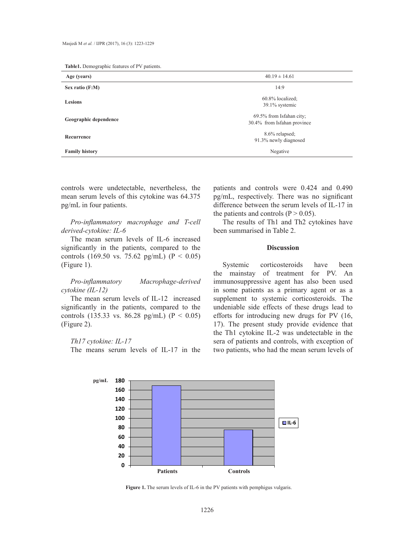| Age (years)           | $40.19 \pm 14.61$                                       |  |
|-----------------------|---------------------------------------------------------|--|
| Sex ratio (F:M)       | 14:9                                                    |  |
| <b>Lesions</b>        | $60.8\%$ localized;<br>39.1% systemic                   |  |
| Geographic dependence | 69.5% from Isfahan city;<br>30.4% from Isfahan province |  |
| Recurrence            | 8.6% relapsed;<br>91.3% newly diagnosed                 |  |
| <b>Family history</b> | Negative                                                |  |

controls were undetectable, nevertheless, the mean serum levels of this cytokine was 64.375 pg/mL in four patients.

*Pro-inflammatory macrophage and T-cell derived-cytokine: IL-6* 

The mean serum levels of IL-6 increased significantly in the patients, compared to the controls (169.50 vs. 75.62 pg/mL) ( $P < 0.05$ ) (Figure 1).

*Pro-inflammatory Macrophage-derived cytokine (IL-12)*

The mean serum levels of IL-12 increased significantly in the patients, compared to the controls (135.33 vs. 86.28 pg/mL) ( $P < 0.05$ ) (Figure 2).

#### *Th17 cytokine: IL-17*

The means serum levels of IL-17 in the

patients and controls were 0.424 and 0.490 pg/mL, respectively. There was no significant difference between the serum levels of IL-17 in the patients and controls ( $P > 0.05$ ).

The results of Th1 and Th2 cytokines have been summarised in Table 2.

# **Discussion**

Systemic corticosteroids have been the mainstay of treatment for PV. An immunosuppressive agent has also been used in some patients as a primary agent or as a supplement to systemic corticosteroids. The undeniable side effects of these drugs lead to efforts for introducing new drugs for PV (16, 17). The present study provide evidence that the Th1 cytokine IL-2 was undetectable in the sera of patients and controls, with exception of two patients, who had the mean serum levels of



Figure 1. The serum levels of IL-6 in the PV patients with pemphigus vulgaris.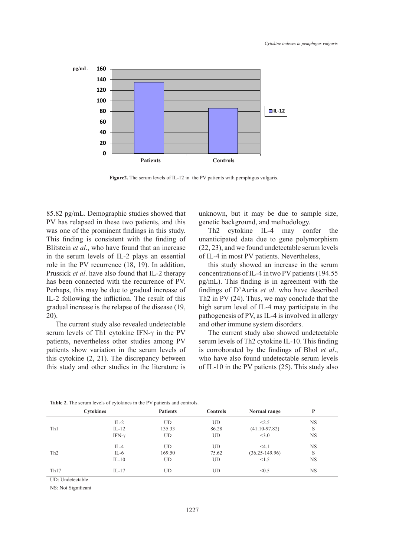

**Figure2.** The serum levels of IL-12 in the PV patients with pemphigus vulgaris.

85.82 pg/mL. Demographic studies showed that PV has relapsed in these two patients, and this was one of the prominent findings in this study. This finding is consistent with the finding of Blitstein et al., who have found that an increase in the serum levels of IL-2 plays an essential of IL-4 in most PV patien role in the PV recurrence (18, 19). In addition, Prussick *et al*. have also found that IL-2 therapy has been connected with the recurrence of PV. Perhaps, this may be due to gradual increase of IL-2 following the infliction. The result of this gradual increase is the relapse of the disease (19, 20).

The current study also revealed undetectable serum levels of Th1 cytokine IFN- $\gamma$  in the PV patients, nevertheless other studies among PV patients show variation in the serum levels of this cytokine  $(2, 21)$ . The discrepancy between this study and other studies in the literature is

unknown, but it may be due to sample size, genetic background, and methodology.

prominent findings in this study. Th2 cytokine IL-4 may confer the consistent with the finding of unanticipated data due to gene polymorphism (22, 23), and we found undetectable serum levels of IL-4 in most PV patients. Nevertheless,

> this study showed an increase in the serum concentrations of IL-4 in two PV patients (194.55 recurrence of PV. pg/mL). This finding is in agreement with the findings of D'Auria *et al*. who have described ion. The result of this Th2 in PV (24). Thus, we may conclude that the high serum level of IL-4 may participate in the pathogenesis of PV, as IL-4 is involved in allergy and other immune system disorders.  $(24)$ . Thus, we may conclude t

The current study also showed undetectable serum levels of Th2 cytokine IL-10. This finding of the statics along 1. Security of the eyes in the series of the corresponding to the findings of Bhol *et al.*, who have also found undetectable serum levels of IL-10 in the PV patients (25). This study also

| <b>TADIC 2.</b> THE SCI WILL TOYERS OF CYTONINGS IN THE T Y DATICINS AND CONTROLS. |                  |                 |                 |                    |           |  |  |
|------------------------------------------------------------------------------------|------------------|-----------------|-----------------|--------------------|-----------|--|--|
|                                                                                    | <b>Cytokines</b> | <b>Patients</b> | <b>Controls</b> | Normal range       |           |  |  |
| Th1                                                                                | $IL-2$           | <b>UD</b>       | UD              | < 2.5              | <b>NS</b> |  |  |
|                                                                                    | $IL-12$          | 135.33          | 86.28           | $(41.10 - 97.82)$  | S         |  |  |
|                                                                                    | IFN- $\gamma$    | UD.             | UD              | <3.0               | <b>NS</b> |  |  |
| Th <sub>2</sub>                                                                    | IL-4             | UD              | UD              | <4.1               | <b>NS</b> |  |  |
|                                                                                    | IL-6             | 169.50          | 75.62           | $(36.25 - 149.96)$ | S         |  |  |
|                                                                                    | $IL-10$          | <b>UD</b>       | UD              | <1.5               | <b>NS</b> |  |  |
| Th17                                                                               | $IL-17$          | UD              | UD              | < 0.5              | <b>NS</b> |  |  |

<sup>7</sup> **Table 2.** The serum levels of cytokines in the PV patients and controls.

UD: Undetectable

NS: Not Significant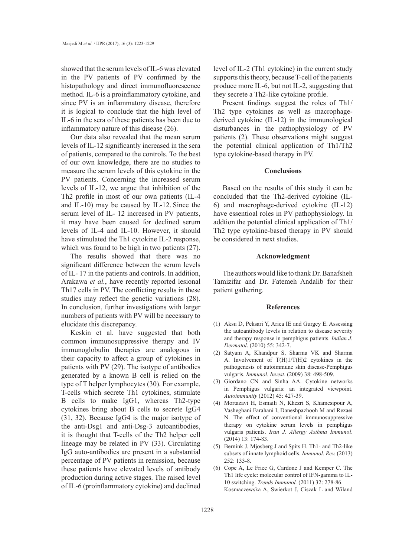showed that the serum levels of IL-6 was elevated in the PV patients of PV confirmed by the histopathology and direct immunofluorescence method. IL-6 is a proinflammatory cytokine, and since PV is an inflammatory disease, therefore it is logical to conclude that the high level of IL-6 in the sera of these patients has been due to inflammatory nature of this disease (26).

Our data also revealed that the mean serum levels of IL-12 significantly increased in the sera of patients, compared to the controls. To the best of our own knowledge, there are no studies to measure the serum levels of this cytokine in the PV patients. Concerning the increased serum levels of IL-12, we argue that inhibition of the Th2 profile in most of our own patients (IL-4 and IL-10) may be caused by IL-12. Since the serum level of IL- 12 increased in PV patients, it may have been caused for declined serum levels of IL-4 and IL-10. However, it should have stimulated the Th1 cytokine IL-2 response, which was found to be high in two patients  $(27)$ .

The results showed that there was no significant difference between the serum levels of IL- 17 in the patients and controls. In addition, Arakawa *et al.*, have recently reported lesional Th17 cells in PV. The conflicting results in these studies may reflect the genetic variations (28). In conclusion, further investigations with larger numbers of patients with PV will be necessary to elucidate this discrepancy.

Keskin et al. have suggested that both common immunosuppressive therapy and IV immunoglobulin therapies are analogous in their capacity to affect a group of cytokines in patients with PV (29). The isotype of antibodies generated by a known B cell is relied on the type of T helper lymphocytes (30). For example, T-cells which secrete Th1 cytokines, stimulate B cells to make IgG1, whereas Th2-type cytokines bring about B cells to secrete IgG4 (31, 32). Because IgG4 is the major isotype of the anti-Dsg1 and anti-Dsg-3 autoantibodies, it is thought that T-cells of the Th2 helper cell lineage may be related in PV (33). Circulating IgG auto-antibodies are present in a substantial percentage of PV patients in remission, because these patients have elevated levels of antibody production during active stages. The raised level of IL-6 (proinflammatory cytokine) and declined level of IL-2 (Th1 cytokine) in the current study supports this theory, because T-cell of the patients produce more IL-6, but not IL-2, suggesting that they secrete a Th2-like cytokine profile.

Present findings suggest the roles of Th1/ Th2 type cytokines as well as macrophagederived cytokine (IL-12) in the immunological disturbances in the pathophysiology of PV patients (2). These observations might suggest the potential clinical application of Th1/Th2 type cytokine-based therapy in PV.

# **Conclusions**

Based on the results of this study it can be concluded that the Th2-derived cytokine (IL-6) and macrophage-derived cytokine (IL-12) have essentioal roles in PV pathophysiology. In addtion the potential clinical application of Th1/ Th2 type cytokine-based therapy in PV should be considered in next studies.

# **Acknowledgment**

The authors would like to thank Dr. Banafsheh Tamizifar and Dr. Fatemeh Andalib for their patient gathering.

#### **References**

- Aksu D, Peksari Y, Arica IE and Gurgey E. Assessing (1) the autoantibody levels in relation to disease severity and therapy response in pemphigus patients. *Indian J. Dermatol*. (2010) 55: 342-7.
- (2) Satyam A, Khandpur S, Sharma VK and Sharma A. Involvement of T(H)1/T(H)2 cytokines in the pathogenesis of autoimmune skin disease-Pemphigus vulgaris. *Immunol. Invest*. (2009) 38: 498-509.
- Giordano CN and Sinha AA. Cytokine networks (3) in Pemphigus vulgaris: an integrated viewpoint. *Autoimmunity* (2012) 45: 427-39.
- Mortazavi H, Esmaili N, Khezri S, Khamesipour A, (4) Vasheghani Farahani I, Daneshpazhooh M and Rezaei N. The effect of conventional immunosuppressive therapy on cytokine serum levels in pemphigus vulgaris patients. *Iran J. Allergy Asthma Immunol*. (2014) 13: 174-83.
- (5) Bernink J, Mjosberg J and Spits H. Th1- and Th2-like subsets of innate lymphoid cells. *Immunol. Rev.* (2013) 252: 133-8.
- $(6)$  Cope A, Le Friec G, Cardone J and Kemper C. The Th1 life cycle: molecular control of IFN-gamma to IL-10 switching. *Trends Immunol.* (2011) 32: 278-86. Kosmaczewska A, Swierkot J, Ciszak L and Wiland